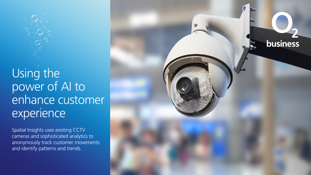Using the power of AI to enhance customer experience

**business** 

Spatial Insights uses existing CCTV cameras and sophisticated analytics to anonymously track customer movements and identify patterns and trends.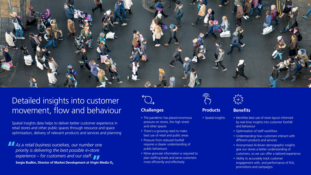

# Detailed insights into customer movement, flow and behaviour

Spatial Insights data helps to deliver better customer experience in retail stores and other public spaces through resource and space optimisation, delivery of relevant products and services and planning

*As a retail business ourselves, our number one priority is delivering the best possible in-store experience – for customers and our staff.* **Sergio Budkin, Director of Market Development at Virgin Media O**<sup>2</sup>

#### **Challenges Benefits Benefits**

- The pandemic has placed enormous pressure on stores, the high street and other spaces
- There's a growing need to make best use of retail and public areas
- Pressure from reduced footfall requires a clearer understanding of public behaviours
- More granular information is required to plan staffing levels and serve customers more efficiently and effectively

**Products**

• Spatial Insights

- Identifies best use of store layout informed by real-time insights into customer footfall and behaviour
- Optimisation of staff workflow
- Understanding how customers interact with different products and services
- Anonymised AI-driven demographic insights give our stores a better understanding of customers, so we can offer a tailored experience
- Ability to accurately track customer engagement with, and performance of PoS, promotions and campaigns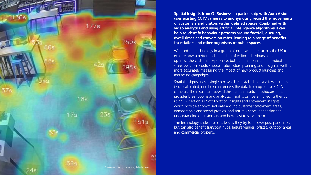

**Spatial Insights from O**2 **Business, in partnership with Aura Vision, uses existing CCTV cameras to anonymously record the movements of customers and visitors within defined spaces. Combined with video analytics and using artificial intelligence algorithms it can help to identify behaviour patterns around footfall, queuing, dwell times and conversion rates, leading to a range of benefits for retailers and other organisers of public spaces.**

We used the technology in a group of our own stores across the UK to explore how a better understanding of visitor behaviours could help optimise the customer experience, both at a national and individual store level. This could support future store planning and design as well as more accurately measuring the impact of new product launches and marketing campaigns.

Spatial Insights uses a single box which is installed in just a few minutes. Once calibrated, one box can process the data from up to five CCTV cameras. The results are viewed through an intuitive dashboard that provides breakdowns and analytics. Insights can be enriched further by using O<sub>2</sub> Motion's Micro Location Insights and Movement Insights, which provide anonymised data around customer catchment areas, demographic and spend profiles, and return visitors, enhancing the understanding of customers and how best to serve them.

The technology is ideal for retailers as they try to recover post-pandemic, but can also benefit transport hubs, leisure venues, offices, outdoor areas and commercial property.